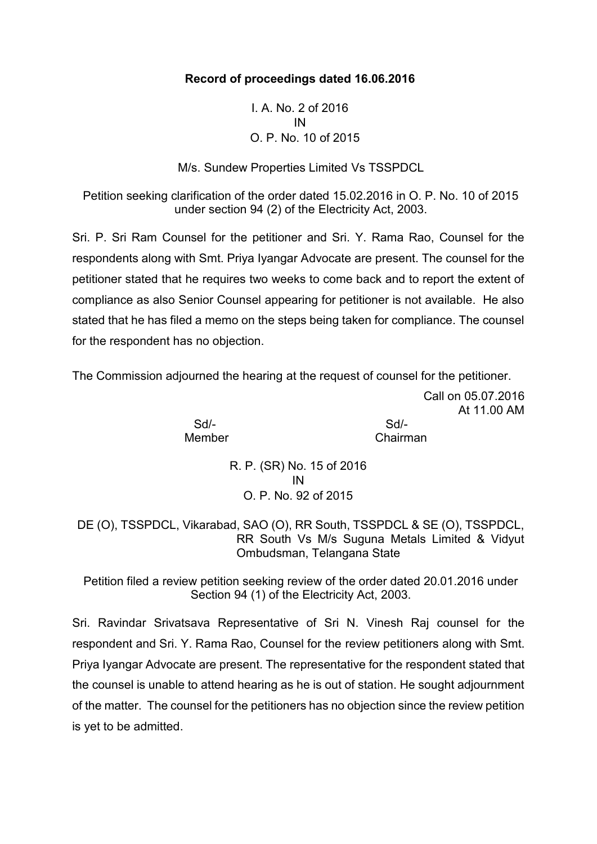## **Record of proceedings dated 16.06.2016**

I. A. No. 2 of 2016 IN O. P. No. 10 of 2015

M/s. Sundew Properties Limited Vs TSSPDCL

Petition seeking clarification of the order dated 15.02.2016 in O. P. No. 10 of 2015 under section 94 (2) of the Electricity Act, 2003.

Sri. P. Sri Ram Counsel for the petitioner and Sri. Y. Rama Rao, Counsel for the respondents along with Smt. Priya Iyangar Advocate are present. The counsel for the petitioner stated that he requires two weeks to come back and to report the extent of compliance as also Senior Counsel appearing for petitioner is not available. He also stated that he has filed a memo on the steps being taken for compliance. The counsel for the respondent has no objection.

The Commission adjourned the hearing at the request of counsel for the petitioner.

Sd/- Sd/- Member **Chairman** 

Call on 05.07.2016

At 11.00 AM

R. P. (SR) No. 15 of 2016 IN O. P. No. 92 of 2015

DE (O), TSSPDCL, Vikarabad, SAO (O), RR South, TSSPDCL & SE (O), TSSPDCL, RR South Vs M/s Suguna Metals Limited & Vidyut Ombudsman, Telangana State

Petition filed a review petition seeking review of the order dated 20.01.2016 under Section 94 (1) of the Electricity Act, 2003.

Sri. Ravindar Srivatsava Representative of Sri N. Vinesh Raj counsel for the respondent and Sri. Y. Rama Rao, Counsel for the review petitioners along with Smt. Priya Iyangar Advocate are present. The representative for the respondent stated that the counsel is unable to attend hearing as he is out of station. He sought adjournment of the matter. The counsel for the petitioners has no objection since the review petition is yet to be admitted.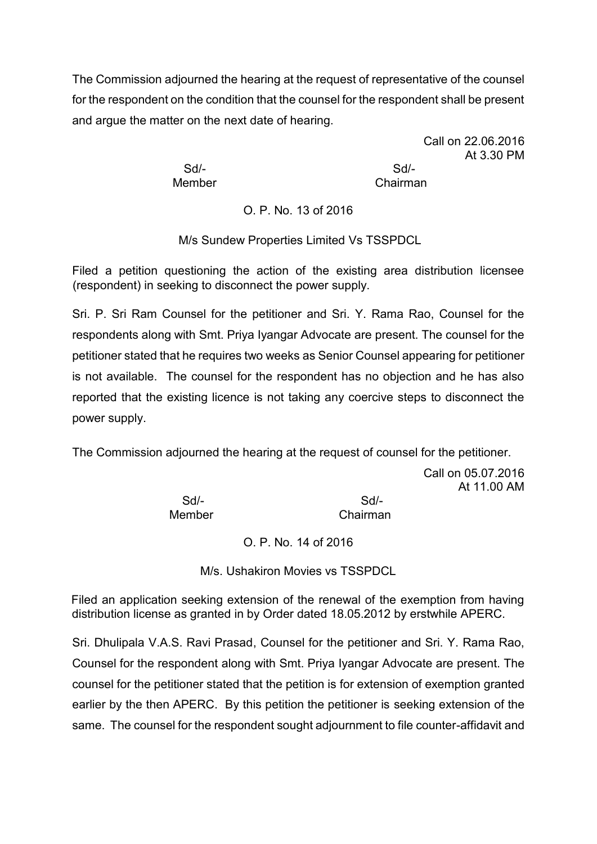The Commission adjourned the hearing at the request of representative of the counsel for the respondent on the condition that the counsel for the respondent shall be present and argue the matter on the next date of hearing.

> Sd/- Sd/- Member Chairman

Call on 22.06.2016 At 3.30 PM

O. P. No. 13 of 2016

M/s Sundew Properties Limited Vs TSSPDCL

Filed a petition questioning the action of the existing area distribution licensee (respondent) in seeking to disconnect the power supply.

Sri. P. Sri Ram Counsel for the petitioner and Sri. Y. Rama Rao, Counsel for the respondents along with Smt. Priya Iyangar Advocate are present. The counsel for the petitioner stated that he requires two weeks as Senior Counsel appearing for petitioner is not available. The counsel for the respondent has no objection and he has also reported that the existing licence is not taking any coercive steps to disconnect the power supply.

The Commission adjourned the hearing at the request of counsel for the petitioner.

Call on 05.07.2016 At 11.00 AM

Sd/- Sd/- Member Chairman

O. P. No. 14 of 2016

M/s. Ushakiron Movies vs TSSPDCL

Filed an application seeking extension of the renewal of the exemption from having distribution license as granted in by Order dated 18.05.2012 by erstwhile APERC.

Sri. Dhulipala V.A.S. Ravi Prasad, Counsel for the petitioner and Sri. Y. Rama Rao, Counsel for the respondent along with Smt. Priya Iyangar Advocate are present. The counsel for the petitioner stated that the petition is for extension of exemption granted earlier by the then APERC. By this petition the petitioner is seeking extension of the same. The counsel for the respondent sought adjournment to file counter-affidavit and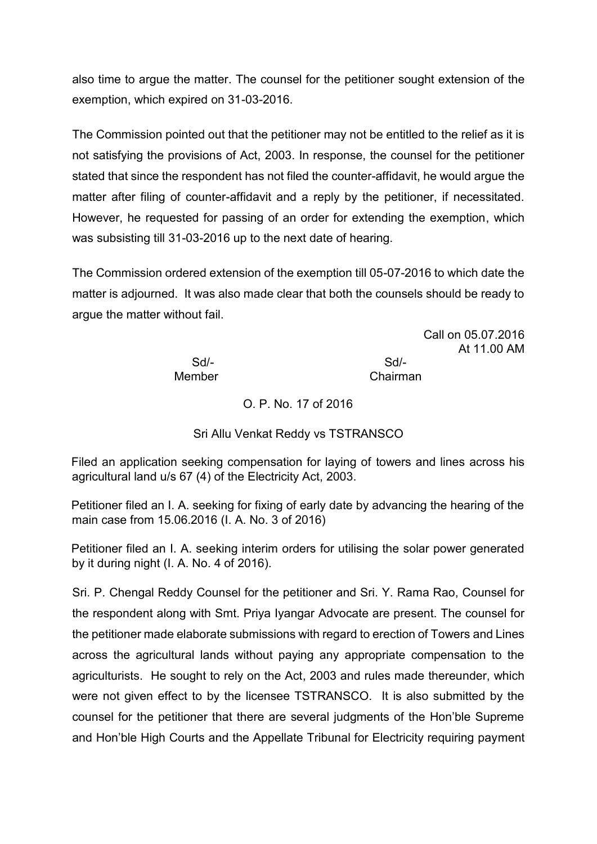also time to argue the matter. The counsel for the petitioner sought extension of the exemption, which expired on 31-03-2016.

The Commission pointed out that the petitioner may not be entitled to the relief as it is not satisfying the provisions of Act, 2003. In response, the counsel for the petitioner stated that since the respondent has not filed the counter-affidavit, he would argue the matter after filing of counter-affidavit and a reply by the petitioner, if necessitated. However, he requested for passing of an order for extending the exemption, which was subsisting till 31-03-2016 up to the next date of hearing.

The Commission ordered extension of the exemption till 05-07-2016 to which date the matter is adjourned. It was also made clear that both the counsels should be ready to argue the matter without fail.

> Call on 05.07.2016 At 11.00 AM

Sd/- Sd/- Member Chairman

O. P. No. 17 of 2016

Sri Allu Venkat Reddy vs TSTRANSCO

Filed an application seeking compensation for laying of towers and lines across his agricultural land u/s 67 (4) of the Electricity Act, 2003.

Petitioner filed an I. A. seeking for fixing of early date by advancing the hearing of the main case from 15.06.2016 (I. A. No. 3 of 2016)

Petitioner filed an I. A. seeking interim orders for utilising the solar power generated by it during night (I. A. No. 4 of 2016).

Sri. P. Chengal Reddy Counsel for the petitioner and Sri. Y. Rama Rao, Counsel for the respondent along with Smt. Priya Iyangar Advocate are present. The counsel for the petitioner made elaborate submissions with regard to erection of Towers and Lines across the agricultural lands without paying any appropriate compensation to the agriculturists. He sought to rely on the Act, 2003 and rules made thereunder, which were not given effect to by the licensee TSTRANSCO. It is also submitted by the counsel for the petitioner that there are several judgments of the Hon'ble Supreme and Hon'ble High Courts and the Appellate Tribunal for Electricity requiring payment